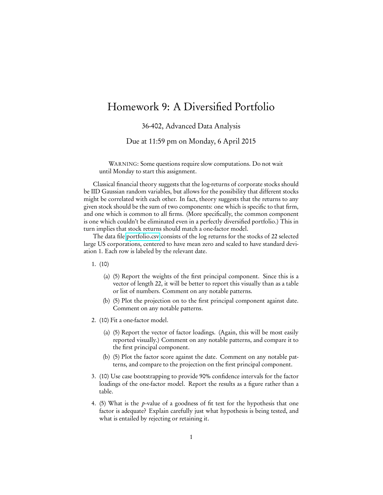## Homework 9: A Diversified Portfolio

36-402, Advanced Data Analysis

Due at 11:59 pm on Monday, 6 April 2015

WARNING: Some questions require slow computations. Do not wait until Monday to start this assignment.

Classical financial theory suggests that the log-returns of corporate stocks should be IID Gaussian random variables, but allows for the possibility that different stocks might be correlated with each other. In fact, theory suggests that the returns to any given stock should be the sum of two components: one which is specific to that firm, and one which is common to all firms. (More specifically, the common component is one which couldn't be eliminated even in a perfectly diversified portfolio.) This in turn implies that stock returns should match a one-factor model.

The data file [portfolio.csv](http://www.stat.cmu.edu/~cshalizi/uADA/15/hw/09/portfolio.csv) consists of the log returns for the stocks of 22 selected large US corporations, centered to have mean zero and scaled to have standard deviation 1. Each row is labeled by the relevant date.

1. (10)

- (a) (5) Report the weights of the first principal component. Since this is a vector of length 22, it will be better to report this visually than as a table or list of numbers. Comment on any notable patterns.
- (b) (5) Plot the projection on to the first principal component against date. Comment on any notable patterns.
- 2. (10) Fit a one-factor model.
	- (a) (5) Report the vector of factor loadings. (Again, this will be most easily reported visually.) Comment on any notable patterns, and compare it to the first principal component.
	- (b) (5) Plot the factor score against the date. Comment on any notable patterns, and compare to the projection on the first principal component.
- 3. (10) Use case bootstrapping to provide 90% confidence intervals for the factor loadings of the one-factor model. Report the results as a figure rather than a table.
- 4. (5) What is the p-value of a goodness of fit test for the hypothesis that one factor is adequate? Explain carefully just what hypothesis is being tested, and what is entailed by rejecting or retaining it.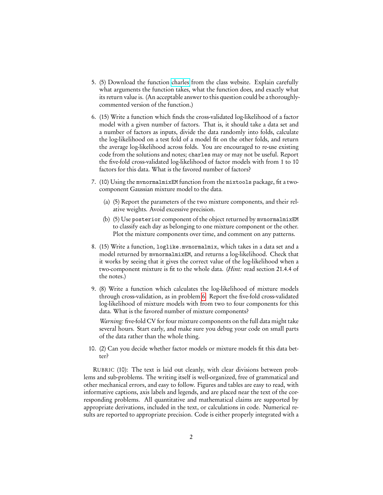- 5. (5) Download the function [charles](http://www.stat.cmu.edu/~cshalizi/uADA/15/hw/09/charles.R) from the class website. Explain carefully what arguments the function takes, what the function does, and exactly what its return value is. (An acceptable answer to this question could be a thoroughlycommented version of the function.)
- <span id="page-1-0"></span>6. (15) Write a function which finds the cross-validated log-likelihood of a factor model with a given number of factors. That is, it should take a data set and a number of factors as inputs, divide the data randomly into folds, calculate the log-likelihood on a test fold of a model fit on the other folds, and return the average log-likelihood across folds. You are encouraged to re-use existing code from the solutions and notes; charles may or may not be useful. Report the five-fold cross-validated log-likelihood of factor models with from 1 to 10 factors for this data. What is the favored number of factors?
- 7. (10) Using the mvnormalmixEM function from the mixtools package, fit a twocomponent Gaussian mixture model to the data.
	- (a) (5) Report the parameters of the two mixture components, and their relative weights. Avoid excessive precision.
	- (b) (5) Use posterior component of the object returned by mvnormalmixEM to classify each day as belonging to one mixture component or the other. Plot the mixture components over time, and comment on any patterns.
- 8. (15) Write a function, loglike.mvnormalmix, which takes in a data set and a model returned by mvnormalmixEM, and returns a log-likelihood. Check that it works by seeing that it gives the correct value of the log-likelihood when a two-component mixture is fit to the whole data. (Hint: read section 21.4.4 of the notes.)
- 9. (8) Write a function which calculates the log-likelihood of mixture models through cross-validation, as in problem [6.](#page-1-0) Report the five-fold cross-validated log-likelihood of mixture models with from two to four components for this data. What is the favored number of mixture components?

Warning: five-fold CV for four mixture components on the full data might take several hours. Start early, and make sure you debug your code on small parts of the data rather than the whole thing.

10. (2) Can you decide whether factor models or mixture models fit this data better?

RUBRIC (10): The text is laid out cleanly, with clear divisions between problems and sub-problems. The writing itself is well-organized, free of grammatical and other mechanical errors, and easy to follow. Figures and tables are easy to read, with informative captions, axis labels and legends, and are placed near the text of the corresponding problems. All quantitative and mathematical claims are supported by appropriate derivations, included in the text, or calculations in code. Numerical results are reported to appropriate precision. Code is either properly integrated with a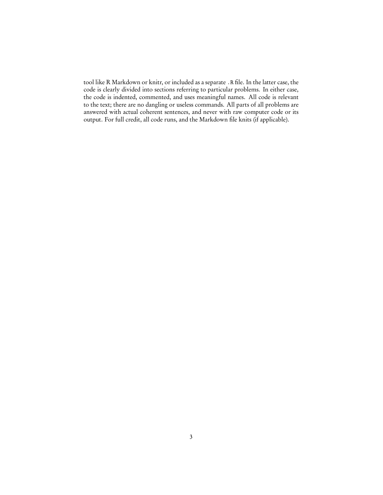tool like R Markdown or knitr, or included as a separate .R file. In the latter case, the code is clearly divided into sections referring to particular problems. In either case, the code is indented, commented, and uses meaningful names. All code is relevant to the text; there are no dangling or useless commands. All parts of all problems are answered with actual coherent sentences, and never with raw computer code or its output. For full credit, all code runs, and the Markdown file knits (if applicable).